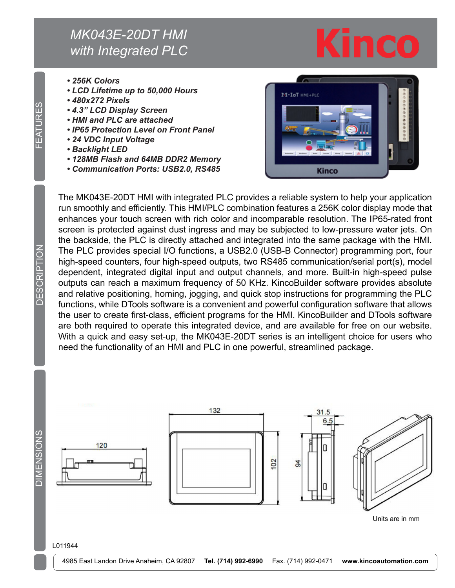## *MK043E-20DT HMI with Integrated PLC*

- *256K Colors*
- *LCD Lifetime up to 50,000 Hours*
- *480x272 Pixels*
- *4.3" LCD Display Screen*
- *HMI and PLC are attached*
- *IP65 Protection Level on Front Panel*
- *24 VDC Input Voltage*
- *Backlight LED*
- *128MB Flash and 64MB DDR2 Memory*
- *Communication Ports: USB2.0, RS485*



inco

The MK043E-20DT HMI with integrated PLC provides a reliable system to help your application run smoothly and efficiently. This HMI/PLC combination features a 256K color display mode that enhances your touch screen with rich color and incomparable resolution. The IP65-rated front screen is protected against dust ingress and may be subjected to low-pressure water jets. On the backside, the PLC is directly attached and integrated into the same package with the HMI. The PLC provides special I/O functions, a USB2.0 (USB-B Connector) programming port, four high-speed counters, four high-speed outputs, two RS485 communication/serial port(s), model dependent, integrated digital input and output channels, and more. Built-in high-speed pulse outputs can reach a maximum frequency of 50 KHz. KincoBuilder software provides absolute and relative positioning, homing, jogging, and quick stop instructions for programming the PLC functions, while DTools software is a convenient and powerful configuration software that allows the user to create first-class, efficient programs for the HMI. KincoBuilder and DTools software are both required to operate this integrated device, and are available for free on our website. With a quick and easy set-up, the MK043E-20DT series is an intelligent choice for users who need the functionality of an HMI and PLC in one powerful, streamlined package.



Units are in mm

## L011944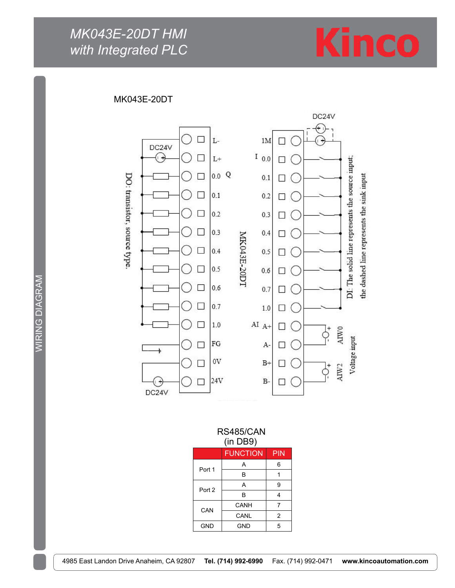## *MK043E-20DT HMI with Integrated PLC*



MK043E-20DT



RS485/CAN (in DB9)

|            | <b>FUNCTION</b> | PIN |
|------------|-----------------|-----|
| Port 1     | Α               | 6   |
|            | B               |     |
| Port 2     | A               | 9   |
|            | B               | 4   |
| CAN        | CANH            | 7   |
|            | CANL            | 2   |
| <b>GND</b> | <b>GND</b>      | 5   |

**WIRING DIAGRAM** WIRING DIAGRAM